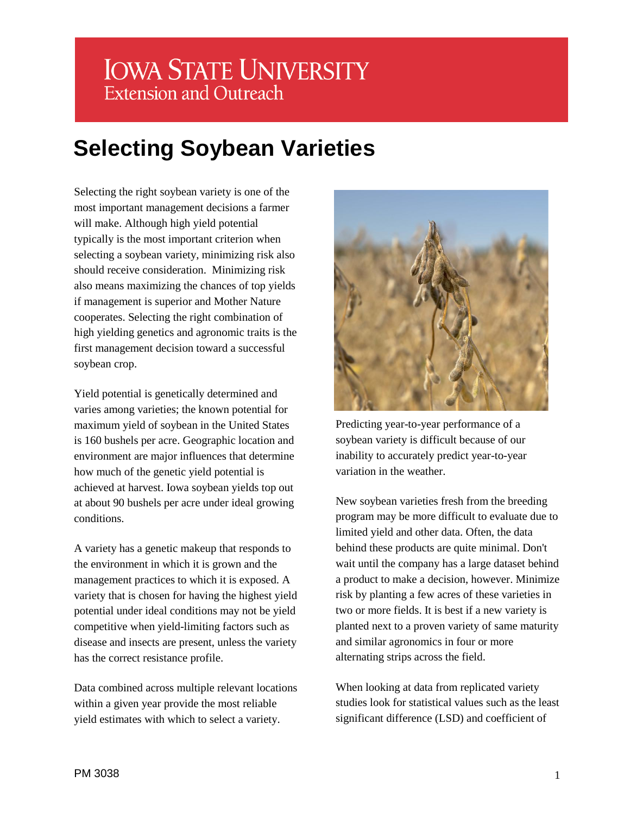# **IOWA STATE UNIVERSITY Extension and Outreach**

# **Selecting Soybean Varieties**

Selecting the right soybean variety is one of the most important management decisions a farmer will make. Although high yield potential typically is the most important criterion when selecting a soybean variety, minimizing risk also should receive consideration. Minimizing risk also means maximizing the chances of top yields if management is superior and Mother Nature cooperates. Selecting the right combination of high yielding genetics and agronomic traits is the first management decision toward a successful soybean crop.

Yield potential is genetically determined and varies among varieties; the known potential for maximum yield of soybean in the United States is 160 bushels per acre. Geographic location and environment are major influences that determine how much of the genetic yield potential is achieved at harvest. Iowa soybean yields top out at about 90 bushels per acre under ideal growing conditions.

A variety has a genetic makeup that responds to the environment in which it is grown and the management practices to which it is exposed. A variety that is chosen for having the highest yield potential under ideal conditions may not be yield competitive when yield-limiting factors such as disease and insects are present, unless the variety has the correct resistance profile.

Data combined across multiple relevant locations within a given year provide the most reliable yield estimates with which to select a variety.



Predicting year-to-year performance of a soybean variety is difficult because of our inability to accurately predict year-to-year variation in the weather.

New soybean varieties fresh from the breeding program may be more difficult to evaluate due to limited yield and other data. Often, the data behind these products are quite minimal. Don't wait until the company has a large dataset behind a product to make a decision, however. Minimize risk by planting a few acres of these varieties in two or more fields. It is best if a new variety is planted next to a proven variety of same maturity and similar agronomics in four or more alternating strips across the field.

When looking at data from replicated variety studies look for statistical values such as the least significant difference (LSD) and coefficient of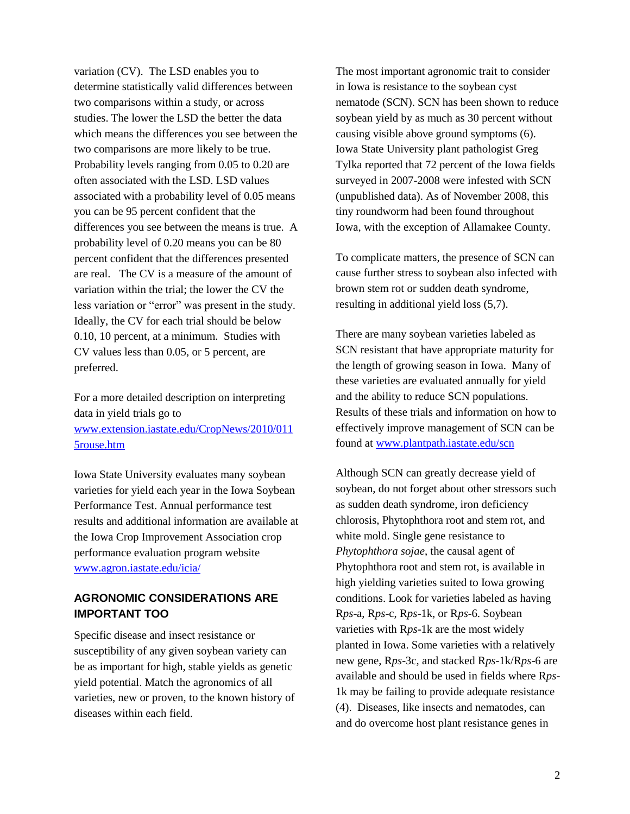variation (CV). The LSD enables you to determine statistically valid differences between two comparisons within a study, or across studies. The lower the LSD the better the data which means the differences you see between the two comparisons are more likely to be true. Probability levels ranging from 0.05 to 0.20 are often associated with the LSD. LSD values associated with a probability level of 0.05 means you can be 95 percent confident that the differences you see between the means is true. A probability level of 0.20 means you can be 80 percent confident that the differences presented are real. The CV is a measure of the amount of variation within the trial; the lower the CV the less variation or "error" was present in the study. Ideally, the CV for each trial should be below 0.10, 10 percent, at a minimum. Studies with CV values less than 0.05, or 5 percent, are preferred.

For a more detailed description on interpreting data in yield trials go to [www.extension.iastate.edu/CropNews/2010/011](http://www.extension.iastate.edu/CropNews/2010/0115rouse.htm) [5rouse.htm](http://www.extension.iastate.edu/CropNews/2010/0115rouse.htm)

Iowa State University evaluates many soybean varieties for yield each year in the Iowa Soybean Performance Test. Annual performance test results and additional information are available at the Iowa Crop Improvement Association crop performance evaluation program website [www.agron.iastate.edu/icia/](http://www.agron.iastate.edu/icia/)

## **AGRONOMIC CONSIDERATIONS ARE IMPORTANT TOO**

Specific disease and insect resistance or susceptibility of any given soybean variety can be as important for high, stable yields as genetic yield potential. Match the agronomics of all varieties, new or proven, to the known history of diseases within each field.

The most important agronomic trait to consider in Iowa is resistance to the soybean cyst nematode (SCN). SCN has been shown to reduce soybean yield by as much as 30 percent without causing visible above ground symptoms (6). Iowa State University plant pathologist Greg Tylka reported that 72 percent of the Iowa fields surveyed in 2007-2008 were infested with SCN (unpublished data). As of November 2008, this tiny roundworm had been found throughout Iowa, with the exception of Allamakee County.

To complicate matters, the presence of SCN can cause further stress to soybean also infected with brown stem rot or sudden death syndrome, resulting in additional yield loss (5,7).

There are many soybean varieties labeled as SCN resistant that have appropriate maturity for the length of growing season in Iowa. Many of these varieties are evaluated annually for yield and the ability to reduce SCN populations. Results of these trials and information on how to effectively improve management of SCN can be found at [www.plantpath.iastate.edu/scn](http://www.plantpath.iastate.edu/scn) 

Although SCN can greatly decrease yield of soybean, do not forget about other stressors such as sudden death syndrome, iron deficiency chlorosis, Phytophthora root and stem rot, and white mold. Single gene resistance to *Phytophthora sojae*, the causal agent of Phytophthora root and stem rot, is available in high yielding varieties suited to Iowa growing conditions. Look for varieties labeled as having R*ps*-a, R*ps*-c, R*ps*-1k, or R*ps*-6. Soybean varieties with R*ps*-1k are the most widely planted in Iowa. Some varieties with a relatively new gene, R*ps*-3c, and stacked R*ps*-1k/R*ps*-6 are available and should be used in fields where R*ps*-1k may be failing to provide adequate resistance (4). Diseases, like insects and nematodes, can and do overcome host plant resistance genes in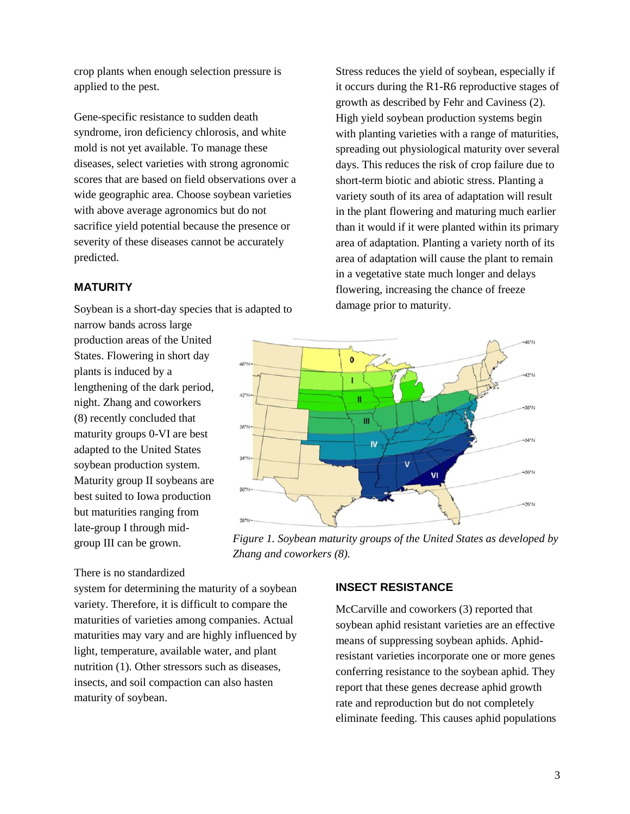crop plants when enough selection pressure is applied to the pest.

Gene-specific resistance to sudden death syndrome, iron deficiency chlorosis, and white mold is not yet available. To manage these diseases, select varieties with strong agronomic scores that are based on field observations over a wide geographic area. Choose soybean varieties with above average agronomics but do not sacrifice yield potential because the presence or severity of these diseases cannot be accurately predicted.

#### **MATURITY**

Soybean is a short-day species that is adapted to

narrow bands across large production areas of the United States. Flowering in short day plants is induced by a lengthening of the dark period, night. Zhang and coworkers (8) recently concluded that maturity groups 0-VI are best adapted to the United States soybean production system. Maturity group II soybeans are best suited to Iowa production but maturities ranging from late-group I through midgroup III can be grown.

There is no standardized

system for determining the maturity of a soybean variety. Therefore, it is difficult to compare the maturities of varieties among companies. Actual maturities may vary and are highly influenced by light, temperature, available water, and plant nutrition (1). Other stressors such as diseases, insects, and soil compaction can also hasten maturity of soybean.

#### **INSECT RESISTANCE**

*Zhang and coworkers (8).*

McCarville and coworkers (3) reported that soybean aphid resistant varieties are an effective means of suppressing soybean aphids. Aphidresistant varieties incorporate one or more genes conferring resistance to the soybean aphid. They report that these genes decrease aphid growth rate and reproduction but do not completely eliminate feeding. This causes aphid populations

Stress reduces the yield of soybean, especially if it occurs during the R1-R6 reproductive stages of growth as described by Fehr and Caviness (2). High yield soybean production systems begin with planting varieties with a range of maturities, spreading out physiological maturity over several days. This reduces the risk of crop failure due to short-term biotic and abiotic stress. Planting a variety south of its area of adaptation will result in the plant flowering and maturing much earlier than it would if it were planted within its primary area of adaptation. Planting a variety north of its area of adaptation will cause the plant to remain in a vegetative state much longer and delays flowering, increasing the chance of freeze damage prior to maturity.